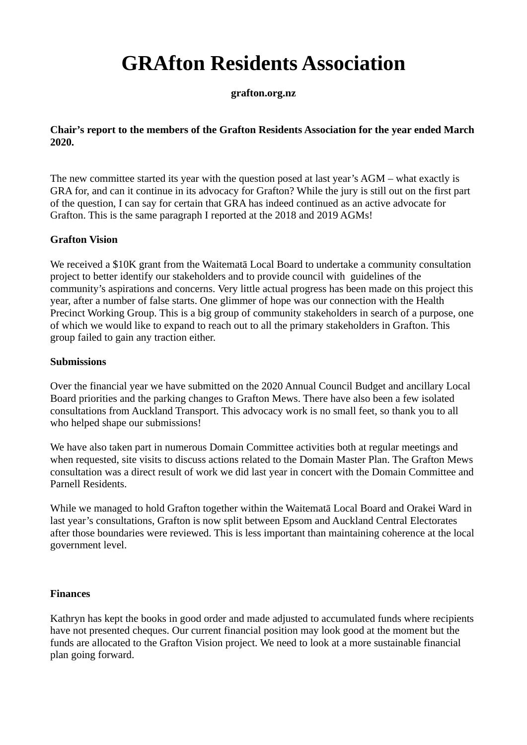# **GRAfton Residents Association**

**grafton.org.nz**

## **Chair's report to the members of the Grafton Residents Association for the year ended March 2020.**

The new committee started its year with the question posed at last year's AGM – what exactly is GRA for, and can it continue in its advocacy for Grafton? While the jury is still out on the first part of the question, I can say for certain that GRA has indeed continued as an active advocate for Grafton. This is the same paragraph I reported at the 2018 and 2019 AGMs!

## **Grafton Vision**

We received a \$10K grant from the Waitematā Local Board to undertake a community consultation project to better identify our stakeholders and to provide council with guidelines of the community's aspirations and concerns. Very little actual progress has been made on this project this year, after a number of false starts. One glimmer of hope was our connection with the Health Precinct Working Group. This is a big group of community stakeholders in search of a purpose, one of which we would like to expand to reach out to all the primary stakeholders in Grafton. This group failed to gain any traction either.

## **Submissions**

Over the financial year we have submitted on the 2020 Annual Council Budget and ancillary Local Board priorities and the parking changes to Grafton Mews. There have also been a few isolated consultations from Auckland Transport. This advocacy work is no small feet, so thank you to all who helped shape our submissions!

We have also taken part in numerous Domain Committee activities both at regular meetings and when requested, site visits to discuss actions related to the Domain Master Plan. The Grafton Mews consultation was a direct result of work we did last year in concert with the Domain Committee and Parnell Residents.

While we managed to hold Grafton together within the Waitematā Local Board and Orakei Ward in last year's consultations, Grafton is now split between Epsom and Auckland Central Electorates after those boundaries were reviewed. This is less important than maintaining coherence at the local government level.

## **Finances**

Kathryn has kept the books in good order and made adjusted to accumulated funds where recipients have not presented cheques. Our current financial position may look good at the moment but the funds are allocated to the Grafton Vision project. We need to look at a more sustainable financial plan going forward.